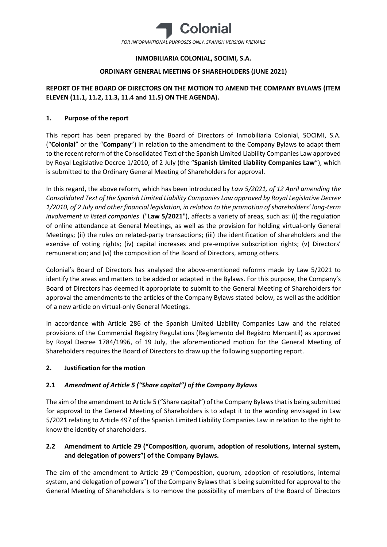

# **INMOBILIARIA COLONIAL, SOCIMI, S.A.**

# **ORDINARY GENERAL MEETING OF SHAREHOLDERS (JUNE 2021)**

# **REPORT OF THE BOARD OF DIRECTORS ON THE MOTION TO AMEND THE COMPANY BYLAWS (ITEM ELEVEN (11.1, 11.2, 11.3, 11.4 and 11.5) ON THE AGENDA).**

# **1. Purpose of the report**

This report has been prepared by the Board of Directors of Inmobiliaria Colonial, SOCIMI, S.A. ("**Colonial**" or the "**Company**") in relation to the amendment to the Company Bylaws to adapt them to the recent reform of the Consolidated Text of the Spanish Limited Liability Companies Law approved by Royal Legislative Decree 1/2010, of 2 July (the "**Spanish Limited Liability Companies Law**"), which is submitted to the Ordinary General Meeting of Shareholders for approval.

In this regard, the above reform, which has been introduced by *Law 5/2021, of 12 April amending the Consolidated Text of the Spanish Limited Liability Companies Law approved by Royal Legislative Decree 1/2010, of 2 July and other financial legislation, in relation to the promotion of shareholders' long-term involvement in listed companies* ("**Law 5/2021**"), affects a variety of areas, such as: (i) the regulation of online attendance at General Meetings, as well as the provision for holding virtual-only General Meetings; (ii) the rules on related-party transactions; (iii) the identification of shareholders and the exercise of voting rights; (iv) capital increases and pre-emptive subscription rights; (v) Directors' remuneration; and (vi) the composition of the Board of Directors, among others.

Colonial's Board of Directors has analysed the above-mentioned reforms made by Law 5/2021 to identify the areas and matters to be added or adapted in the Bylaws. For this purpose, the Company's Board of Directors has deemed it appropriate to submit to the General Meeting of Shareholders for approval the amendments to the articles of the Company Bylaws stated below, as well as the addition of a new article on virtual-only General Meetings.

In accordance with Article 286 of the Spanish Limited Liability Companies Law and the related provisions of the Commercial Registry Regulations (Reglamento del Registro Mercantil) as approved by Royal Decree 1784/1996, of 19 July, the aforementioned motion for the General Meeting of Shareholders requires the Board of Directors to draw up the following supporting report.

# **2. Justification for the motion**

# **2.1** *Amendment of Article 5 ("Share capital") of the Company Bylaws*

The aim of the amendment to Article 5 ("Share capital") of the Company Bylaws that is being submitted for approval to the General Meeting of Shareholders is to adapt it to the wording envisaged in Law 5/2021 relating to Article 497 of the Spanish Limited Liability Companies Law in relation to the right to know the identity of shareholders.

# **2.2 Amendment to Article 29 ("Composition, quorum, adoption of resolutions, internal system, and delegation of powers") of the Company Bylaws.**

The aim of the amendment to Article 29 ("Composition, quorum, adoption of resolutions, internal system, and delegation of powers") of the Company Bylaws that is being submitted for approval to the General Meeting of Shareholders is to remove the possibility of members of the Board of Directors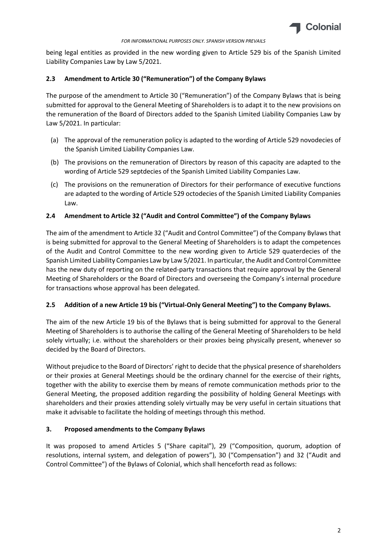

being legal entities as provided in the new wording given to Article 529 bis of the Spanish Limited Liability Companies Law by Law 5/2021.

## **2.3 Amendment to Article 30 ("Remuneration") of the Company Bylaws**

The purpose of the amendment to Article 30 ("Remuneration") of the Company Bylaws that is being submitted for approval to the General Meeting of Shareholders is to adapt it to the new provisions on the remuneration of the Board of Directors added to the Spanish Limited Liability Companies Law by Law 5/2021. In particular:

- (a) The approval of the remuneration policy is adapted to the wording of Article 529 novodecies of the Spanish Limited Liability Companies Law.
- (b) The provisions on the remuneration of Directors by reason of this capacity are adapted to the wording of Article 529 septdecies of the Spanish Limited Liability Companies Law.
- (c) The provisions on the remuneration of Directors for their performance of executive functions are adapted to the wording of Article 529 octodecies of the Spanish Limited Liability Companies Law.

# **2.4 Amendment to Article 32 ("Audit and Control Committee") of the Company Bylaws**

The aim of the amendment to Article 32 ("Audit and Control Committee") of the Company Bylaws that is being submitted for approval to the General Meeting of Shareholders is to adapt the competences of the Audit and Control Committee to the new wording given to Article 529 quaterdecies of the Spanish Limited Liability Companies Law by Law 5/2021. In particular, the Audit and Control Committee has the new duty of reporting on the related-party transactions that require approval by the General Meeting of Shareholders or the Board of Directors and overseeing the Company's internal procedure for transactions whose approval has been delegated.

## **2.5 Addition of a new Article 19 bis ("Virtual-Only General Meeting") to the Company Bylaws.**

The aim of the new Article 19 bis of the Bylaws that is being submitted for approval to the General Meeting of Shareholders is to authorise the calling of the General Meeting of Shareholders to be held solely virtually; i.e. without the shareholders or their proxies being physically present, whenever so decided by the Board of Directors.

Without prejudice to the Board of Directors' right to decide that the physical presence of shareholders or their proxies at General Meetings should be the ordinary channel for the exercise of their rights, together with the ability to exercise them by means of remote communication methods prior to the General Meeting, the proposed addition regarding the possibility of holding General Meetings with shareholders and their proxies attending solely virtually may be very useful in certain situations that make it advisable to facilitate the holding of meetings through this method.

## **3. Proposed amendments to the Company Bylaws**

It was proposed to amend Articles 5 ("Share capital"), 29 ("Composition, quorum, adoption of resolutions, internal system, and delegation of powers"), 30 ("Compensation") and 32 ("Audit and Control Committee") of the Bylaws of Colonial, which shall henceforth read as follows: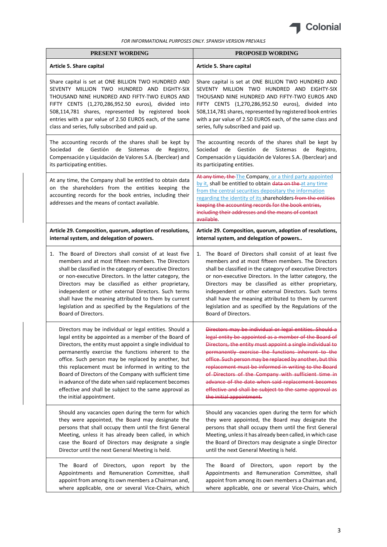

| PRESENT WORDING                                                                                                                                                                                                             | <b>PROPOSED WORDING</b>                                                                                                                                                                                                                                                                                                                                                      |
|-----------------------------------------------------------------------------------------------------------------------------------------------------------------------------------------------------------------------------|------------------------------------------------------------------------------------------------------------------------------------------------------------------------------------------------------------------------------------------------------------------------------------------------------------------------------------------------------------------------------|
| Article 5. Share capital                                                                                                                                                                                                    | Article 5. Share capital                                                                                                                                                                                                                                                                                                                                                     |
| Share capital is set at ONE BILLION TWO HUNDRED AND                                                                                                                                                                         | Share capital is set at ONE BILLION TWO HUNDRED AND                                                                                                                                                                                                                                                                                                                          |
| SEVENTY MILLION TWO HUNDRED AND EIGHTY-SIX                                                                                                                                                                                  | SEVENTY MILLION TWO HUNDRED AND EIGHTY-SIX                                                                                                                                                                                                                                                                                                                                   |
| THOUSAND NINE HUNDRED AND FIFTY-TWO EUROS AND                                                                                                                                                                               | THOUSAND NINE HUNDRED AND FIFTY-TWO EUROS AND                                                                                                                                                                                                                                                                                                                                |
| FIFTY CENTS (1,270,286,952.50 euros), divided into                                                                                                                                                                          | FIFTY CENTS (1,270,286,952.50 euros), divided into                                                                                                                                                                                                                                                                                                                           |
| 508,114,781 shares, represented by registered book                                                                                                                                                                          | 508,114,781 shares, represented by registered book entries                                                                                                                                                                                                                                                                                                                   |
| entries with a par value of 2.50 EUROS each, of the same                                                                                                                                                                    | with a par value of 2.50 EUROS each, of the same class and                                                                                                                                                                                                                                                                                                                   |
| class and series, fully subscribed and paid up.                                                                                                                                                                             | series, fully subscribed and paid up.                                                                                                                                                                                                                                                                                                                                        |
| The accounting records of the shares shall be kept by<br>Sociedad<br>de Gestión<br>de Sistemas de<br>Registro,<br>Compensación y Liquidación de Valores S.A. (Iberclear) and<br>its participating entities.                 | The accounting records of the shares shall be kept by<br>de Gestión de<br>Sociedad<br>Sistemas<br>de<br>Registro,<br>Compensación y Liquidación de Valores S.A. (Iberclear) and<br>its participating entities.                                                                                                                                                               |
| At any time, the Company shall be entitled to obtain data<br>on the shareholders from the entities keeping the<br>accounting records for the book entries, including their<br>addresses and the means of contact available. | At any time, the The Company, or a third party appointed<br>by it, shall be entitled to obtain data on the at any time<br>from the central securities depositary the information<br>regarding the identity of its shareholders from the entities<br>keeping the accounting records for the book entries,<br>including their addresses and the means of contact<br>available. |
| Article 29. Composition, quorum, adoption of resolutions,                                                                                                                                                                   | Article 29. Composition, quorum, adoption of resolutions,                                                                                                                                                                                                                                                                                                                    |
| internal system, and delegation of powers.                                                                                                                                                                                  | internal system, and delegation of powers                                                                                                                                                                                                                                                                                                                                    |
| 1. The Board of Directors shall consist of at least five                                                                                                                                                                    | 1. The Board of Directors shall consist of at least five                                                                                                                                                                                                                                                                                                                     |
| members and at most fifteen members. The Directors                                                                                                                                                                          | members and at most fifteen members. The Directors                                                                                                                                                                                                                                                                                                                           |
| shall be classified in the category of executive Directors                                                                                                                                                                  | shall be classified in the category of executive Directors                                                                                                                                                                                                                                                                                                                   |
| or non-executive Directors. In the latter category, the                                                                                                                                                                     | or non-executive Directors. In the latter category, the                                                                                                                                                                                                                                                                                                                      |
| Directors may be classified as either proprietary,                                                                                                                                                                          | Directors may be classified as either proprietary,                                                                                                                                                                                                                                                                                                                           |
| independent or other external Directors. Such terms                                                                                                                                                                         | independent or other external Directors. Such terms                                                                                                                                                                                                                                                                                                                          |
| shall have the meaning attributed to them by current                                                                                                                                                                        | shall have the meaning attributed to them by current                                                                                                                                                                                                                                                                                                                         |
| legislation and as specified by the Regulations of the                                                                                                                                                                      | legislation and as specified by the Regulations of the                                                                                                                                                                                                                                                                                                                       |
| Board of Directors.                                                                                                                                                                                                         | Board of Directors.                                                                                                                                                                                                                                                                                                                                                          |
| Directors may be individual or legal entities. Should a                                                                                                                                                                     | Directors may be individual or legal entities. Should a                                                                                                                                                                                                                                                                                                                      |
| legal entity be appointed as a member of the Board of                                                                                                                                                                       | legal entity be appointed as a member of the Board of                                                                                                                                                                                                                                                                                                                        |
| Directors, the entity must appoint a single individual to                                                                                                                                                                   | Directors, the entity must appoint a single individual to                                                                                                                                                                                                                                                                                                                    |
| permanently exercise the functions inherent to the                                                                                                                                                                          | permanently exercise the functions inherent to the                                                                                                                                                                                                                                                                                                                           |
| office. Such person may be replaced by another, but                                                                                                                                                                         | office. Such person may be replaced by another, but this                                                                                                                                                                                                                                                                                                                     |
| this replacement must be informed in writing to the                                                                                                                                                                         | replacement must be informed in writing to the Board                                                                                                                                                                                                                                                                                                                         |
| Board of Directors of the Company with sufficient time                                                                                                                                                                      | of Directors of the Company with sufficient time in                                                                                                                                                                                                                                                                                                                          |
| in advance of the date when said replacement becomes                                                                                                                                                                        | advance of the date when said replacement becomes                                                                                                                                                                                                                                                                                                                            |
| effective and shall be subject to the same approval as                                                                                                                                                                      | effective and shall be subject to the same approval as                                                                                                                                                                                                                                                                                                                       |
| the initial appointment.                                                                                                                                                                                                    | the initial appointment.                                                                                                                                                                                                                                                                                                                                                     |
| Should any vacancies open during the term for which                                                                                                                                                                         | Should any vacancies open during the term for which                                                                                                                                                                                                                                                                                                                          |
| they were appointed, the Board may designate the                                                                                                                                                                            | they were appointed, the Board may designate the                                                                                                                                                                                                                                                                                                                             |
| persons that shall occupy them until the first General                                                                                                                                                                      | persons that shall occupy them until the first General                                                                                                                                                                                                                                                                                                                       |
| Meeting, unless it has already been called, in which                                                                                                                                                                        | Meeting, unless it has already been called, in which case                                                                                                                                                                                                                                                                                                                    |
| case the Board of Directors may designate a single                                                                                                                                                                          | the Board of Directors may designate a single Director                                                                                                                                                                                                                                                                                                                       |
| Director until the next General Meeting is held.                                                                                                                                                                            | until the next General Meeting is held.                                                                                                                                                                                                                                                                                                                                      |
| The Board of Directors, upon report by the                                                                                                                                                                                  | The Board of Directors, upon report by the                                                                                                                                                                                                                                                                                                                                   |
| Appointments and Remuneration Committee, shall                                                                                                                                                                              | Appointments and Remuneration Committee, shall                                                                                                                                                                                                                                                                                                                               |
| appoint from among its own members a Chairman and,                                                                                                                                                                          | appoint from among its own members a Chairman and,                                                                                                                                                                                                                                                                                                                           |
| where applicable, one or several Vice-Chairs, which                                                                                                                                                                         | where applicable, one or several Vice-Chairs, which                                                                                                                                                                                                                                                                                                                          |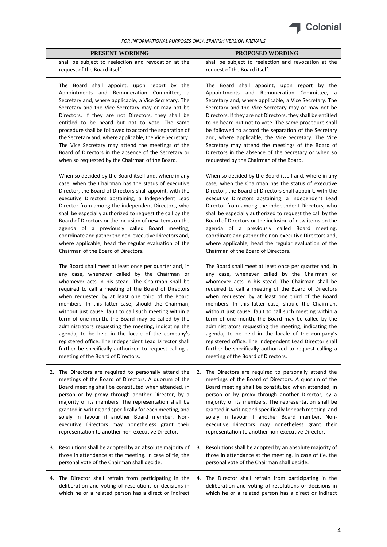

| <b>PRESENT WORDING</b>                                                                                                                                                                                                                                                                                                                                                                                                                                                                                                                                                                                                                                                                                                  |    | <b>PROPOSED WORDING</b>                                                                                                                                                                                                                                                                                                                                                                                                                                                                                                                                                                                                                                                                                                 |
|-------------------------------------------------------------------------------------------------------------------------------------------------------------------------------------------------------------------------------------------------------------------------------------------------------------------------------------------------------------------------------------------------------------------------------------------------------------------------------------------------------------------------------------------------------------------------------------------------------------------------------------------------------------------------------------------------------------------------|----|-------------------------------------------------------------------------------------------------------------------------------------------------------------------------------------------------------------------------------------------------------------------------------------------------------------------------------------------------------------------------------------------------------------------------------------------------------------------------------------------------------------------------------------------------------------------------------------------------------------------------------------------------------------------------------------------------------------------------|
| shall be subject to reelection and revocation at the<br>request of the Board itself.                                                                                                                                                                                                                                                                                                                                                                                                                                                                                                                                                                                                                                    |    | shall be subject to reelection and revocation at the<br>request of the Board itself.                                                                                                                                                                                                                                                                                                                                                                                                                                                                                                                                                                                                                                    |
| The Board shall appoint, upon report by the<br>Appointments and Remuneration Committee, a<br>Secretary and, where applicable, a Vice Secretary. The<br>Secretary and the Vice Secretary may or may not be<br>Directors. If they are not Directors, they shall be<br>entitled to be heard but not to vote. The same<br>procedure shall be followed to accord the separation of<br>the Secretary and, where applicable, the Vice Secretary.<br>The Vice Secretary may attend the meetings of the<br>Board of Directors in the absence of the Secretary or<br>when so requested by the Chairman of the Board.                                                                                                              |    | The Board shall appoint, upon report by the<br>Appointments and Remuneration Committee, a<br>Secretary and, where applicable, a Vice Secretary. The<br>Secretary and the Vice Secretary may or may not be<br>Directors. If they are not Directors, they shall be entitled<br>to be heard but not to vote. The same procedure shall<br>be followed to accord the separation of the Secretary<br>and, where applicable, the Vice Secretary. The Vice<br>Secretary may attend the meetings of the Board of<br>Directors in the absence of the Secretary or when so<br>requested by the Chairman of the Board.                                                                                                              |
| When so decided by the Board itself and, where in any<br>case, when the Chairman has the status of executive<br>Director, the Board of Directors shall appoint, with the<br>executive Directors abstaining, a Independent Lead<br>Director from among the independent Directors, who<br>shall be especially authorized to request the call by the<br>Board of Directors or the inclusion of new items on the<br>agenda of a previously called Board meeting,<br>coordinate and gather the non-executive Directors and,<br>where applicable, head the regular evaluation of the<br>Chairman of the Board of Directors.                                                                                                   |    | When so decided by the Board itself and, where in any<br>case, when the Chairman has the status of executive<br>Director, the Board of Directors shall appoint, with the<br>executive Directors abstaining, a Independent Lead<br>Director from among the independent Directors, who<br>shall be especially authorized to request the call by the<br>Board of Directors or the inclusion of new items on the<br>agenda of a previously called Board meeting,<br>coordinate and gather the non-executive Directors and,<br>where applicable, head the regular evaluation of the<br>Chairman of the Board of Directors.                                                                                                   |
| The Board shall meet at least once per quarter and, in<br>any case, whenever called by the Chairman or<br>whomever acts in his stead. The Chairman shall be<br>required to call a meeting of the Board of Directors<br>when requested by at least one third of the Board<br>members. In this latter case, should the Chairman,<br>without just cause, fault to call such meeting within a<br>term of one month, the Board may be called by the<br>administrators requesting the meeting, indicating the<br>agenda, to be held in the locale of the company's<br>registered office. The Independent Lead Director shall<br>further be specifically authorized to request calling a<br>meeting of the Board of Directors. |    | The Board shall meet at least once per quarter and, in<br>any case, whenever called by the Chairman or<br>whomever acts in his stead. The Chairman shall be<br>required to call a meeting of the Board of Directors<br>when requested by at least one third of the Board<br>members. In this latter case, should the Chairman,<br>without just cause, fault to call such meeting within a<br>term of one month, the Board may be called by the<br>administrators requesting the meeting, indicating the<br>agenda, to be held in the locale of the company's<br>registered office. The Independent Lead Director shall<br>further be specifically authorized to request calling a<br>meeting of the Board of Directors. |
| 2. The Directors are required to personally attend the<br>meetings of the Board of Directors. A quorum of the<br>Board meeting shall be constituted when attended, in<br>person or by proxy through another Director, by a<br>majority of its members. The representation shall be<br>granted in writing and specifically for each meeting, and<br>solely in favour if another Board member. Non-<br>executive Directors may nonetheless grant their<br>representation to another non-executive Director.                                                                                                                                                                                                               | 2. | The Directors are required to personally attend the<br>meetings of the Board of Directors. A quorum of the<br>Board meeting shall be constituted when attended, in<br>person or by proxy through another Director, by a<br>majority of its members. The representation shall be<br>granted in writing and specifically for each meeting, and<br>solely in favour if another Board member. Non-<br>executive Directors may nonetheless grant their<br>representation to another non-executive Director.                                                                                                                                                                                                                  |
| 3. Resolutions shall be adopted by an absolute majority of<br>those in attendance at the meeting. In case of tie, the<br>personal vote of the Chairman shall decide.                                                                                                                                                                                                                                                                                                                                                                                                                                                                                                                                                    | 3. | Resolutions shall be adopted by an absolute majority of<br>those in attendance at the meeting. In case of tie, the<br>personal vote of the Chairman shall decide.                                                                                                                                                                                                                                                                                                                                                                                                                                                                                                                                                       |
| 4. The Director shall refrain from participating in the<br>deliberation and voting of resolutions or decisions in<br>which he or a related person has a direct or indirect                                                                                                                                                                                                                                                                                                                                                                                                                                                                                                                                              | 4. | The Director shall refrain from participating in the<br>deliberation and voting of resolutions or decisions in<br>which he or a related person has a direct or indirect                                                                                                                                                                                                                                                                                                                                                                                                                                                                                                                                                 |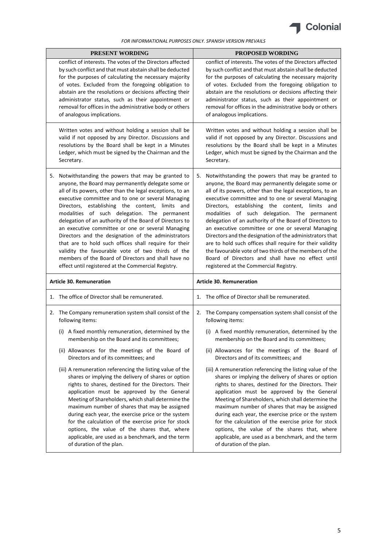

| <b>PRESENT WORDING</b> |                                                                                                                                                                                                                                                                                                                                                                                                                                                                                                                                                                                                                                                                                                                                  | <b>PROPOSED WORDING</b> |                                                                                                                                                                                                                                                                                                                                                                                                                                                                                                                                                                                                                                                                                                                                  |  |
|------------------------|----------------------------------------------------------------------------------------------------------------------------------------------------------------------------------------------------------------------------------------------------------------------------------------------------------------------------------------------------------------------------------------------------------------------------------------------------------------------------------------------------------------------------------------------------------------------------------------------------------------------------------------------------------------------------------------------------------------------------------|-------------------------|----------------------------------------------------------------------------------------------------------------------------------------------------------------------------------------------------------------------------------------------------------------------------------------------------------------------------------------------------------------------------------------------------------------------------------------------------------------------------------------------------------------------------------------------------------------------------------------------------------------------------------------------------------------------------------------------------------------------------------|--|
|                        | conflict of interests. The votes of the Directors affected<br>by such conflict and that must abstain shall be deducted<br>for the purposes of calculating the necessary majority<br>of votes. Excluded from the foregoing obligation to<br>abstain are the resolutions or decisions affecting their<br>administrator status, such as their appointment or<br>removal for offices in the administrative body or others<br>of analogous implications.                                                                                                                                                                                                                                                                              |                         | conflict of interests. The votes of the Directors affected<br>by such conflict and that must abstain shall be deducted<br>for the purposes of calculating the necessary majority<br>of votes. Excluded from the foregoing obligation to<br>abstain are the resolutions or decisions affecting their<br>administrator status, such as their appointment or<br>removal for offices in the administrative body or others<br>of analogous implications.                                                                                                                                                                                                                                                                              |  |
|                        | Written votes and without holding a session shall be<br>valid if not opposed by any Director. Discussions and<br>resolutions by the Board shall be kept in a Minutes<br>Ledger, which must be signed by the Chairman and the<br>Secretary.                                                                                                                                                                                                                                                                                                                                                                                                                                                                                       |                         | Written votes and without holding a session shall be<br>valid if not opposed by any Director. Discussions and<br>resolutions by the Board shall be kept in a Minutes<br>Ledger, which must be signed by the Chairman and the<br>Secretary.                                                                                                                                                                                                                                                                                                                                                                                                                                                                                       |  |
| 5.                     | Notwithstanding the powers that may be granted to<br>anyone, the Board may permanently delegate some or<br>all of its powers, other than the legal exceptions, to an<br>executive committee and to one or several Managing<br>Directors, establishing the content, limits and<br>modalities of such delegation. The permanent<br>delegation of an authority of the Board of Directors to<br>an executive committee or one or several Managing<br>Directors and the designation of the administrators<br>that are to hold such offices shall require for their<br>validity the favourable vote of two thirds of the<br>members of the Board of Directors and shall have no<br>effect until registered at the Commercial Registry. | 5.                      | Notwithstanding the powers that may be granted to<br>anyone, the Board may permanently delegate some or<br>all of its powers, other than the legal exceptions, to an<br>executive committee and to one or several Managing<br>Directors, establishing the content, limits and<br>modalities of such delegation. The permanent<br>delegation of an authority of the Board of Directors to<br>an executive committee or one or several Managing<br>Directors and the designation of the administrators that<br>are to hold such offices shall require for their validity<br>the favourable vote of two thirds of the members of the<br>Board of Directors and shall have no effect until<br>registered at the Commercial Registry. |  |
|                        | <b>Article 30. Remuneration</b>                                                                                                                                                                                                                                                                                                                                                                                                                                                                                                                                                                                                                                                                                                  |                         | <b>Article 30. Remuneration</b>                                                                                                                                                                                                                                                                                                                                                                                                                                                                                                                                                                                                                                                                                                  |  |
|                        | 1. The office of Director shall be remunerated.                                                                                                                                                                                                                                                                                                                                                                                                                                                                                                                                                                                                                                                                                  |                         | 1. The office of Director shall be remunerated.                                                                                                                                                                                                                                                                                                                                                                                                                                                                                                                                                                                                                                                                                  |  |
|                        | 2. The Company remuneration system shall consist of the<br>following items:                                                                                                                                                                                                                                                                                                                                                                                                                                                                                                                                                                                                                                                      |                         | 2. The Company compensation system shall consist of the<br>following items:                                                                                                                                                                                                                                                                                                                                                                                                                                                                                                                                                                                                                                                      |  |
|                        | (i) A fixed monthly remuneration, determined by the<br>membership on the Board and its committees;                                                                                                                                                                                                                                                                                                                                                                                                                                                                                                                                                                                                                               |                         | (i) A fixed monthly remuneration, determined by the<br>membership on the Board and its committees;                                                                                                                                                                                                                                                                                                                                                                                                                                                                                                                                                                                                                               |  |
|                        | (ii) Allowances for the meetings of the Board of<br>Directors and of its committees; and                                                                                                                                                                                                                                                                                                                                                                                                                                                                                                                                                                                                                                         |                         | (ii) Allowances for the meetings of the Board of<br>Directors and of its committees; and                                                                                                                                                                                                                                                                                                                                                                                                                                                                                                                                                                                                                                         |  |
|                        | (iii) A remuneration referencing the listing value of the<br>shares or implying the delivery of shares or option<br>rights to shares, destined for the Directors. Their<br>application must be approved by the General<br>Meeting of Shareholders, which shall determine the<br>maximum number of shares that may be assigned<br>during each year, the exercise price or the system<br>for the calculation of the exercise price for stock<br>options, the value of the shares that, where<br>applicable, are used as a benchmark, and the term<br>of duration of the plan.                                                                                                                                                      |                         | (iii) A remuneration referencing the listing value of the<br>shares or implying the delivery of shares or option<br>rights to shares, destined for the Directors. Their<br>application must be approved by the General<br>Meeting of Shareholders, which shall determine the<br>maximum number of shares that may be assigned<br>during each year, the exercise price or the system<br>for the calculation of the exercise price for stock<br>options, the value of the shares that, where<br>applicable, are used as a benchmark, and the term<br>of duration of the plan.                                                                                                                                                      |  |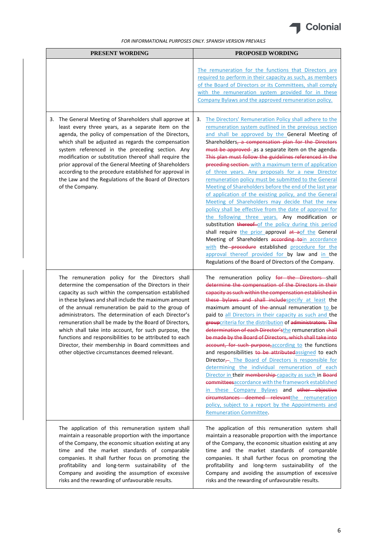

| <b>PRESENT WORDING</b>                                                                                                                                                                                                                                                                                                                                                                                                                                                                                                                                                                                                    | PROPOSED WORDING                                                                                                                                                                                                                                                                                                                                                                                                                                                                                                                                                                                                                                                                                                                                                                                                                                                                                                                                                                                                                                                                                                                              |
|---------------------------------------------------------------------------------------------------------------------------------------------------------------------------------------------------------------------------------------------------------------------------------------------------------------------------------------------------------------------------------------------------------------------------------------------------------------------------------------------------------------------------------------------------------------------------------------------------------------------------|-----------------------------------------------------------------------------------------------------------------------------------------------------------------------------------------------------------------------------------------------------------------------------------------------------------------------------------------------------------------------------------------------------------------------------------------------------------------------------------------------------------------------------------------------------------------------------------------------------------------------------------------------------------------------------------------------------------------------------------------------------------------------------------------------------------------------------------------------------------------------------------------------------------------------------------------------------------------------------------------------------------------------------------------------------------------------------------------------------------------------------------------------|
|                                                                                                                                                                                                                                                                                                                                                                                                                                                                                                                                                                                                                           | The remuneration for the functions that Directors are<br>required to perform in their capacity as such, as members<br>of the Board of Directors or its Committees, shall comply<br>with the remuneration system provided for in these<br>Company Bylaws and the approved remuneration policy.                                                                                                                                                                                                                                                                                                                                                                                                                                                                                                                                                                                                                                                                                                                                                                                                                                                 |
| 3. The General Meeting of Shareholders shall approve at<br>least every three years, as a separate item on the<br>agenda, the policy of compensation of the Directors,<br>which shall be adjusted as regards the compensation<br>system referenced in the preceding section. Any<br>modification or substitution thereof shall require the<br>prior approval of the General Meeting of Shareholders<br>according to the procedure established for approval in<br>the Law and the Regulations of the Board of Directors<br>of the Company.                                                                                  | The Directors' Remuneration Policy shall adhere to the<br>3.<br>remuneration system outlined in the previous section<br>and shall be approved by the General Meeting of<br>Shareholders, a compensation plan for the Directors<br>must be approved as a separate item on the agenda-<br>This plan must follow the guidelines referenced in the<br>preceding section. with a maximum term of application<br>of three years. Any proposals for a new Director<br>remuneration policy must be submitted to the General<br>Meeting of Shareholders before the end of the last year<br>of application of the existing policy, and the General<br>Meeting of Shareholders may decide that the new<br>policy shall be effective from the date of approval for<br>the following three years. Any modification or<br>substitution thereof of the policy during this period<br>shall require the prior approval at aof the General<br>Meeting of Shareholders according toin accordance<br>with the procedure established procedure for the<br>approval thereof provided for by law and in the<br>Regulations of the Board of Directors of the Company. |
| The remuneration policy for the Directors shall<br>determine the compensation of the Directors in their<br>capacity as such within the compensation established<br>in these bylaws and shall include the maximum amount<br>of the annual remuneration be paid to the group of<br>administrators. The determination of each Director's<br>remuneration shall be made by the Board of Directors,<br>which shall take into account, for such purpose, the<br>functions and responsibilities to be attributed to each<br>Director, their membership in Board committees and<br>other objective circumstances deemed relevant. | The remuneration policy for the Directors shall<br>determine the compensation of the Directors in their<br>capacity as such within the compensation established in<br>these bylaws and shall include specify at least the<br>maximum amount of the annual remuneration to be<br>paid to all Directors in their capacity as such and the<br>groupcriteria for the distribution of administrators. The<br>determination of each Director'sthe remuneration shall<br>be made by the Board of Directors, which shall take into<br>account, for such purpose, according to the functions<br>and responsibilities to be attributedassigned to each<br>Director $\frac{1}{x}$ . The Board of Directors is responsible for<br>determining the individual remuneration of each<br>Director in their membership-capacity as such in Board<br>committeesaccordance with the framework established<br>in these Company Bylaws and other objective<br>circumstances deemed relevantthe remuneration<br>policy, subject to a report by the Appointments and<br><b>Remuneration Committee.</b>                                                               |
| The application of this remuneration system shall<br>maintain a reasonable proportion with the importance<br>of the Company, the economic situation existing at any<br>time and the market standards of comparable<br>companies. It shall further focus on promoting the<br>profitability and long-term sustainability of the<br>Company and avoiding the assumption of excessive<br>risks and the rewarding of unfavourable results.                                                                                                                                                                                     | The application of this remuneration system shall<br>maintain a reasonable proportion with the importance<br>of the Company, the economic situation existing at any<br>time and the market standards of comparable<br>companies. It shall further focus on promoting the<br>profitability and long-term sustainability of the<br>Company and avoiding the assumption of excessive<br>risks and the rewarding of unfavourable results.                                                                                                                                                                                                                                                                                                                                                                                                                                                                                                                                                                                                                                                                                                         |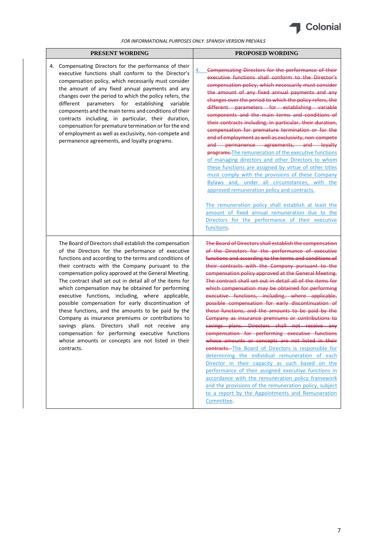

| PRESENT WORDING                                                                                                                                                                                                                                                                                                                                                                                                                                                                                                                                                                                                                                                                                                                                                                                    | <b>PROPOSED WORDING</b>                                                                                                                                                                                                                                                                                                                                                                                                                                                                                                                                                                                                                                                                                                                                                                                                                                                                                                                                                                                                                                                                                                                                                                     |
|----------------------------------------------------------------------------------------------------------------------------------------------------------------------------------------------------------------------------------------------------------------------------------------------------------------------------------------------------------------------------------------------------------------------------------------------------------------------------------------------------------------------------------------------------------------------------------------------------------------------------------------------------------------------------------------------------------------------------------------------------------------------------------------------------|---------------------------------------------------------------------------------------------------------------------------------------------------------------------------------------------------------------------------------------------------------------------------------------------------------------------------------------------------------------------------------------------------------------------------------------------------------------------------------------------------------------------------------------------------------------------------------------------------------------------------------------------------------------------------------------------------------------------------------------------------------------------------------------------------------------------------------------------------------------------------------------------------------------------------------------------------------------------------------------------------------------------------------------------------------------------------------------------------------------------------------------------------------------------------------------------|
| 4. Compensating Directors for the performance of their<br>executive functions shall conform to the Director's<br>compensation policy, which necessarily must consider<br>the amount of any fixed annual payments and any<br>changes over the period to which the policy refers, the<br>different<br>parameters for establishing variable<br>components and the main terms and conditions of their<br>contracts including, in particular, their duration,<br>compensation for premature termination or for the end<br>of employment as well as exclusivity, non-compete and<br>permanence agreements, and loyalty programs.                                                                                                                                                                         | Compensating Directors for the performance of their<br>executive functions shall conform to the Director's<br>compensation policy, which necessarily must consider<br>the amount of any fixed annual payments and any<br>changes over the period to which the policy refers, the<br>different parameters for establishing variable<br>components and the main terms and conditions of<br>their contracts including, in particular, their duration,<br>compensation for premature termination or for the<br>end of employment as well as exclusivity, non-compete<br>and permanence agreements, and loyalty<br>programs. The remuneration of the executive functions<br>of managing directors and other Directors to whom<br>these functions are assigned by virtue of other titles<br>must comply with the provisions of these Company<br>Bylaws and, under all circumstances, with the<br>approved remuneration policy and contracts.<br>The remuneration policy shall establish at least the<br>amount of fixed annual remuneration due to the<br>Directors for the performance of their executive<br>functions.                                                                          |
| The Board of Directors shall establish the compensation<br>of the Directors for the performance of executive<br>functions and according to the terms and conditions of<br>their contracts with the Company pursuant to the<br>compensation policy approved at the General Meeting.<br>The contract shall set out in detail all of the items for<br>which compensation may be obtained for performing<br>executive functions, including, where applicable,<br>possible compensation for early discontinuation of<br>these functions, and the amounts to be paid by the<br>Company as insurance premiums or contributions to<br>savings plans. Directors shall not receive any<br>compensation for performing executive functions<br>whose amounts or concepts are not listed in their<br>contracts. | The Board of Directors shall establish the compensation<br>of the Directors for the performance of executive<br>functions and according to the terms and conditions of<br>their contracts with the Company pursuant to the<br>compensation policy approved at the General Meeting.<br>The contract shall set out in detail all of the items for<br>which compensation may be obtained for performing<br>executive functions, including, where applicable,<br>possible compensation for early discontinuation of<br>these functions, and the amounts to be paid by the<br>Company as insurance premiums or contributions to<br>savings plans. Directors shall not receive any<br>compensation for performing executive functions<br>whose amounts or concepts are not listed in their<br>contracts. The Board of Directors is responsible for<br>determining the individual remuneration of each<br>Director in their capacity as such based on the<br>performance of their assigned executive functions in<br>accordance with the remuneration policy framework<br>and the provisions of the remuneration policy, subject<br>to a report by the Appointments and Remuneration<br>Committee. |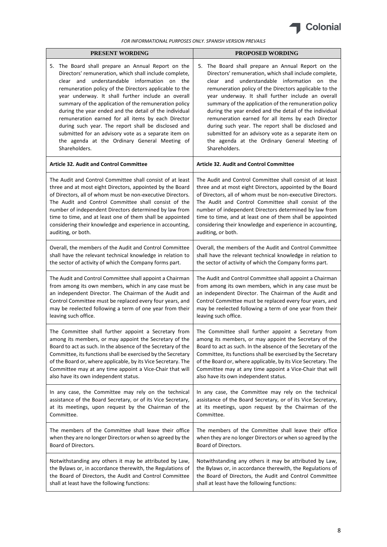

| PRESENT WORDING                                               | <b>PROPOSED WORDING</b>                                       |  |  |
|---------------------------------------------------------------|---------------------------------------------------------------|--|--|
| The Board shall prepare an Annual Report on the               | The Board shall prepare an Annual Report on the               |  |  |
| 5.                                                            | 5.                                                            |  |  |
| Directors' remuneration, which shall include complete,        | Directors' remuneration, which shall include complete,        |  |  |
| clear and understandable information on the                   | clear and understandable information on the                   |  |  |
| remuneration policy of the Directors applicable to the        | remuneration policy of the Directors applicable to the        |  |  |
| year underway. It shall further include an overall            | year underway. It shall further include an overall            |  |  |
| summary of the application of the remuneration policy         | summary of the application of the remuneration policy         |  |  |
| during the year ended and the detail of the individual        | during the year ended and the detail of the individual        |  |  |
| remuneration earned for all items by each Director            | remuneration earned for all items by each Director            |  |  |
| during such year. The report shall be disclosed and           | during such year. The report shall be disclosed and           |  |  |
| submitted for an advisory vote as a separate item on          | submitted for an advisory vote as a separate item on          |  |  |
| the agenda at the Ordinary General Meeting of                 | the agenda at the Ordinary General Meeting of                 |  |  |
| Shareholders.                                                 | Shareholders.                                                 |  |  |
| <b>Article 32. Audit and Control Committee</b>                | <b>Article 32. Audit and Control Committee</b>                |  |  |
| The Audit and Control Committee shall consist of at least     | The Audit and Control Committee shall consist of at least     |  |  |
| three and at most eight Directors, appointed by the Board     | three and at most eight Directors, appointed by the Board     |  |  |
| of Directors, all of whom must be non-executive Directors.    | of Directors, all of whom must be non-executive Directors.    |  |  |
| The Audit and Control Committee shall consist of the          | The Audit and Control Committee shall consist of the          |  |  |
| number of independent Directors determined by law from        | number of independent Directors determined by law from        |  |  |
| time to time, and at least one of them shall be appointed     | time to time, and at least one of them shall be appointed     |  |  |
| considering their knowledge and experience in accounting,     | considering their knowledge and experience in accounting,     |  |  |
| auditing, or both.                                            | auditing, or both.                                            |  |  |
| Overall, the members of the Audit and Control Committee       | Overall, the members of the Audit and Control Committee       |  |  |
| shall have the relevant technical knowledge in relation to    | shall have the relevant technical knowledge in relation to    |  |  |
| the sector of activity of which the Company forms part.       | the sector of activity of which the Company forms part.       |  |  |
| The Audit and Control Committee shall appoint a Chairman      | The Audit and Control Committee shall appoint a Chairman      |  |  |
| from among its own members, which in any case must be         | from among its own members, which in any case must be         |  |  |
| an independent Director. The Chairman of the Audit and        | an independent Director. The Chairman of the Audit and        |  |  |
| Control Committee must be replaced every four years, and      | Control Committee must be replaced every four years, and      |  |  |
| may be reelected following a term of one year from their      | may be reelected following a term of one year from their      |  |  |
| leaving such office.                                          | leaving such office.                                          |  |  |
| The Committee shall further appoint a Secretary from          | The Committee shall further appoint a Secretary from          |  |  |
| among its members, or may appoint the Secretary of the        | among its members, or may appoint the Secretary of the        |  |  |
| Board to act as such. In the absence of the Secretary of the  | Board to act as such. In the absence of the Secretary of the  |  |  |
| Committee, its functions shall be exercised by the Secretary  | Committee, its functions shall be exercised by the Secretary  |  |  |
| of the Board or, where applicable, by its Vice Secretary. The | of the Board or, where applicable, by its Vice Secretary. The |  |  |
| Committee may at any time appoint a Vice-Chair that will      | Committee may at any time appoint a Vice-Chair that will      |  |  |
| also have its own independent status.                         | also have its own independent status.                         |  |  |
| In any case, the Committee may rely on the technical          | In any case, the Committee may rely on the technical          |  |  |
| assistance of the Board Secretary, or of its Vice Secretary,  | assistance of the Board Secretary, or of its Vice Secretary,  |  |  |
| at its meetings, upon request by the Chairman of the          | at its meetings, upon request by the Chairman of the          |  |  |
| Committee.                                                    | Committee.                                                    |  |  |
| The members of the Committee shall leave their office         | The members of the Committee shall leave their office         |  |  |
| when they are no longer Directors or when so agreed by the    | when they are no longer Directors or when so agreed by the    |  |  |
| Board of Directors.                                           | Board of Directors.                                           |  |  |
| Notwithstanding any others it may be attributed by Law,       | Notwithstanding any others it may be attributed by Law,       |  |  |
| the Bylaws or, in accordance therewith, the Regulations of    | the Bylaws or, in accordance therewith, the Regulations of    |  |  |
| the Board of Directors, the Audit and Control Committee       | the Board of Directors, the Audit and Control Committee       |  |  |
| shall at least have the following functions:                  | shall at least have the following functions:                  |  |  |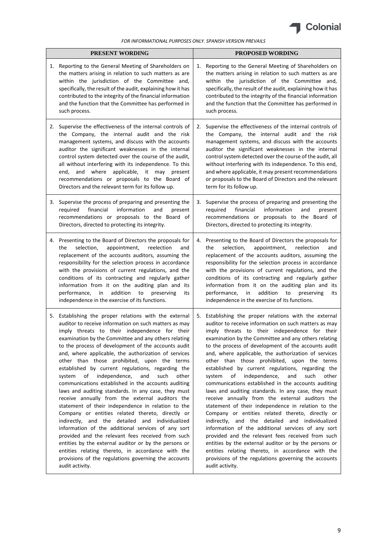

| PRESENT WORDING |                                                                                                                                                                                                                                                                                                                                                                                                                                                                                                                                                                                                                                                                                                                                                                                                                                                                                                                                                                                                                                                                                                                                     | PROPOSED WORDING |                                                                                                                                                                                                                                                                                                                                                                                                                                                                                                                                                                                                                                                                                                                                                                                                                                                                                                                                                                                                                                                                                                                                     |  |
|-----------------|-------------------------------------------------------------------------------------------------------------------------------------------------------------------------------------------------------------------------------------------------------------------------------------------------------------------------------------------------------------------------------------------------------------------------------------------------------------------------------------------------------------------------------------------------------------------------------------------------------------------------------------------------------------------------------------------------------------------------------------------------------------------------------------------------------------------------------------------------------------------------------------------------------------------------------------------------------------------------------------------------------------------------------------------------------------------------------------------------------------------------------------|------------------|-------------------------------------------------------------------------------------------------------------------------------------------------------------------------------------------------------------------------------------------------------------------------------------------------------------------------------------------------------------------------------------------------------------------------------------------------------------------------------------------------------------------------------------------------------------------------------------------------------------------------------------------------------------------------------------------------------------------------------------------------------------------------------------------------------------------------------------------------------------------------------------------------------------------------------------------------------------------------------------------------------------------------------------------------------------------------------------------------------------------------------------|--|
| 1.              | Reporting to the General Meeting of Shareholders on<br>the matters arising in relation to such matters as are<br>within the jurisdiction of the Committee and,<br>specifically, the result of the audit, explaining how it has<br>contributed to the integrity of the financial information<br>and the function that the Committee has performed in<br>such process.                                                                                                                                                                                                                                                                                                                                                                                                                                                                                                                                                                                                                                                                                                                                                                | 1.               | Reporting to the General Meeting of Shareholders on<br>the matters arising in relation to such matters as are<br>within the jurisdiction of the Committee and,<br>specifically, the result of the audit, explaining how it has<br>contributed to the integrity of the financial information<br>and the function that the Committee has performed in<br>such process.                                                                                                                                                                                                                                                                                                                                                                                                                                                                                                                                                                                                                                                                                                                                                                |  |
| 2.              | Supervise the effectiveness of the internal controls of<br>the Company, the internal audit and the risk<br>management systems, and discuss with the accounts<br>auditor the significant weaknesses in the internal<br>control system detected over the course of the audit,<br>all without interfering with its independence. To this<br>and where applicable, it may present<br>end,<br>recommendations or proposals to the Board of<br>Directors and the relevant term for its follow up.                                                                                                                                                                                                                                                                                                                                                                                                                                                                                                                                                                                                                                         | 2.               | Supervise the effectiveness of the internal controls of<br>the Company, the internal audit and the risk<br>management systems, and discuss with the accounts<br>auditor the significant weaknesses in the internal<br>control system detected over the course of the audit, all<br>without interfering with its independence. To this end,<br>and where applicable, it may present recommendations<br>or proposals to the Board of Directors and the relevant<br>term for its follow up.                                                                                                                                                                                                                                                                                                                                                                                                                                                                                                                                                                                                                                            |  |
|                 | 3. Supervise the process of preparing and presenting the<br>financial<br>information<br>and<br>required<br>present<br>recommendations or proposals to the Board of<br>Directors, directed to protecting its integrity.                                                                                                                                                                                                                                                                                                                                                                                                                                                                                                                                                                                                                                                                                                                                                                                                                                                                                                              | 3.               | Supervise the process of preparing and presenting the<br>financial<br>information<br>required<br>and<br>present<br>recommendations or proposals to the Board of<br>Directors, directed to protecting its integrity.                                                                                                                                                                                                                                                                                                                                                                                                                                                                                                                                                                                                                                                                                                                                                                                                                                                                                                                 |  |
| 4.              | Presenting to the Board of Directors the proposals for<br>selection,<br>appointment,<br>reelection<br>the<br>and<br>replacement of the accounts auditors, assuming the<br>responsibility for the selection process in accordance<br>with the provisions of current regulations, and the<br>conditions of its contracting and regularly gather<br>information from it on the auditing plan and its<br>addition<br>performance,<br>in<br>to<br>preserving<br>its<br>independence in the exercise of its functions.                                                                                                                                                                                                                                                                                                                                                                                                                                                                                                                                                                                                                    | 4.               | Presenting to the Board of Directors the proposals for<br>selection,<br>appointment,<br>reelection<br>the<br>and<br>replacement of the accounts auditors, assuming the<br>responsibility for the selection process in accordance<br>with the provisions of current regulations, and the<br>conditions of its contracting and regularly gather<br>information from it on the auditing plan and its<br>addition<br>performance,<br>in<br>to<br>preserving<br>its<br>independence in the exercise of its functions.                                                                                                                                                                                                                                                                                                                                                                                                                                                                                                                                                                                                                    |  |
|                 | 5. Establishing the proper relations with the external<br>auditor to receive information on such matters as may<br>imply threats to their independence for their<br>examination by the Committee and any others relating<br>to the process of development of the accounts audit<br>and, where applicable, the authorization of services<br>other than those prohibited, upon the terms<br>established by current regulations, regarding the<br>of independence,<br>system<br>and<br>such<br>other<br>communications established in the accounts auditing<br>laws and auditing standards. In any case, they must<br>receive annually from the external auditors the<br>statement of their independence in relation to the<br>Company or entities related thereto, directly or<br>indirectly, and the detailed and individualized<br>information of the additional services of any sort<br>provided and the relevant fees received from such<br>entities by the external auditor or by the persons or<br>entities relating thereto, in accordance with the<br>provisions of the regulations governing the accounts<br>audit activity. |                  | 5. Establishing the proper relations with the external<br>auditor to receive information on such matters as may<br>imply threats to their independence for their<br>examination by the Committee and any others relating<br>to the process of development of the accounts audit<br>and, where applicable, the authorization of services<br>other than those prohibited, upon the terms<br>established by current regulations, regarding the<br>of independence,<br>system<br>and<br>such<br>other<br>communications established in the accounts auditing<br>laws and auditing standards. In any case, they must<br>receive annually from the external auditors the<br>statement of their independence in relation to the<br>Company or entities related thereto, directly or<br>indirectly, and the detailed and individualized<br>information of the additional services of any sort<br>provided and the relevant fees received from such<br>entities by the external auditor or by the persons or<br>entities relating thereto, in accordance with the<br>provisions of the regulations governing the accounts<br>audit activity. |  |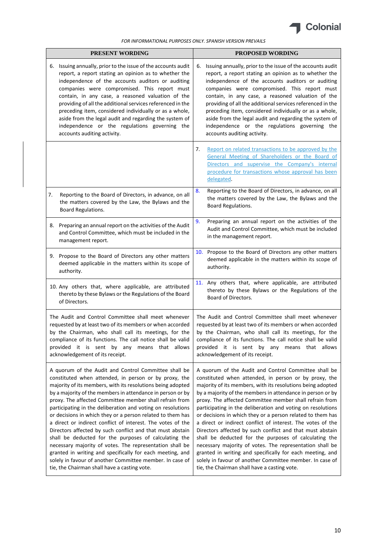

| PRESENT WORDING                                                                                                                                                                                                                                                                                                             |                                                                                                                                                                                                                                                                                                                                                                                                                                                                                                                                                                                                                                                                                                                                                                                                                                                              | PROPOSED WORDING                                                                                                                                                                                                                                                                                                                                                                                                                                                                                                                                                                                                                                                                                                                                                                                                                                             |  |  |
|-----------------------------------------------------------------------------------------------------------------------------------------------------------------------------------------------------------------------------------------------------------------------------------------------------------------------------|--------------------------------------------------------------------------------------------------------------------------------------------------------------------------------------------------------------------------------------------------------------------------------------------------------------------------------------------------------------------------------------------------------------------------------------------------------------------------------------------------------------------------------------------------------------------------------------------------------------------------------------------------------------------------------------------------------------------------------------------------------------------------------------------------------------------------------------------------------------|--------------------------------------------------------------------------------------------------------------------------------------------------------------------------------------------------------------------------------------------------------------------------------------------------------------------------------------------------------------------------------------------------------------------------------------------------------------------------------------------------------------------------------------------------------------------------------------------------------------------------------------------------------------------------------------------------------------------------------------------------------------------------------------------------------------------------------------------------------------|--|--|
|                                                                                                                                                                                                                                                                                                                             | 6. Issuing annually, prior to the issue of the accounts audit<br>report, a report stating an opinion as to whether the<br>independence of the accounts auditors or auditing<br>companies were compromised. This report must<br>contain, in any case, a reasoned valuation of the<br>providing of all the additional services referenced in the<br>preceding item, considered individually or as a whole,<br>aside from the legal audit and regarding the system of<br>independence or the regulations governing the<br>accounts auditing activity.                                                                                                                                                                                                                                                                                                           | Issuing annually, prior to the issue of the accounts audit<br>6.<br>report, a report stating an opinion as to whether the<br>independence of the accounts auditors or auditing<br>companies were compromised. This report must<br>contain, in any case, a reasoned valuation of the<br>providing of all the additional services referenced in the<br>preceding item, considered individually or as a whole,<br>aside from the legal audit and regarding the system of<br>independence or the regulations governing the<br>accounts auditing activity.                                                                                                                                                                                                                                                                                                        |  |  |
|                                                                                                                                                                                                                                                                                                                             |                                                                                                                                                                                                                                                                                                                                                                                                                                                                                                                                                                                                                                                                                                                                                                                                                                                              | Report on related transactions to be approved by the<br>7.<br>General Meeting of Shareholders or the Board of<br>Directors and supervise the Company's internal<br>procedure for transactions whose approval has been<br>delegated.                                                                                                                                                                                                                                                                                                                                                                                                                                                                                                                                                                                                                          |  |  |
| 7.                                                                                                                                                                                                                                                                                                                          | Reporting to the Board of Directors, in advance, on all<br>the matters covered by the Law, the Bylaws and the<br>Board Regulations.                                                                                                                                                                                                                                                                                                                                                                                                                                                                                                                                                                                                                                                                                                                          | Reporting to the Board of Directors, in advance, on all<br>8.<br>the matters covered by the Law, the Bylaws and the<br>Board Regulations.                                                                                                                                                                                                                                                                                                                                                                                                                                                                                                                                                                                                                                                                                                                    |  |  |
|                                                                                                                                                                                                                                                                                                                             | 8. Preparing an annual report on the activities of the Audit<br>and Control Committee, which must be included in the<br>management report.                                                                                                                                                                                                                                                                                                                                                                                                                                                                                                                                                                                                                                                                                                                   | Preparing an annual report on the activities of the<br>9.<br>Audit and Control Committee, which must be included<br>in the management report.                                                                                                                                                                                                                                                                                                                                                                                                                                                                                                                                                                                                                                                                                                                |  |  |
|                                                                                                                                                                                                                                                                                                                             | 9. Propose to the Board of Directors any other matters<br>deemed applicable in the matters within its scope of<br>authority.                                                                                                                                                                                                                                                                                                                                                                                                                                                                                                                                                                                                                                                                                                                                 | 10. Propose to the Board of Directors any other matters<br>deemed applicable in the matters within its scope of<br>authority.                                                                                                                                                                                                                                                                                                                                                                                                                                                                                                                                                                                                                                                                                                                                |  |  |
|                                                                                                                                                                                                                                                                                                                             | 10. Any others that, where applicable, are attributed<br>thereto by these Bylaws or the Regulations of the Board<br>of Directors.                                                                                                                                                                                                                                                                                                                                                                                                                                                                                                                                                                                                                                                                                                                            | 11. Any others that, where applicable, are attributed<br>thereto by these Bylaws or the Regulations of the<br>Board of Directors.                                                                                                                                                                                                                                                                                                                                                                                                                                                                                                                                                                                                                                                                                                                            |  |  |
| The Audit and Control Committee shall meet whenever<br>requested by at least two of its members or when accorded<br>by the Chairman, who shall call its meetings, for the<br>compliance of its functions. The call notice shall be valid<br>provided it is sent by any means that allows<br>acknowledgement of its receipt. |                                                                                                                                                                                                                                                                                                                                                                                                                                                                                                                                                                                                                                                                                                                                                                                                                                                              | The Audit and Control Committee shall meet whenever<br>requested by at least two of its members or when accorded<br>by the Chairman, who shall call its meetings, for the<br>compliance of its functions. The call notice shall be valid<br>provided it is sent by any means that allows<br>acknowledgement of its receipt.                                                                                                                                                                                                                                                                                                                                                                                                                                                                                                                                  |  |  |
|                                                                                                                                                                                                                                                                                                                             | A quorum of the Audit and Control Committee shall be<br>constituted when attended, in person or by proxy, the<br>majority of its members, with its resolutions being adopted<br>by a majority of the members in attendance in person or by<br>proxy. The affected Committee member shall refrain from<br>participating in the deliberation and voting on resolutions<br>or decisions in which they or a person related to them has<br>a direct or indirect conflict of interest. The votes of the<br>Directors affected by such conflict and that must abstain<br>shall be deducted for the purposes of calculating the<br>necessary majority of votes. The representation shall be<br>granted in writing and specifically for each meeting, and<br>solely in favour of another Committee member. In case of<br>tie, the Chairman shall have a casting vote. | A quorum of the Audit and Control Committee shall be<br>constituted when attended, in person or by proxy, the<br>majority of its members, with its resolutions being adopted<br>by a majority of the members in attendance in person or by<br>proxy. The affected Committee member shall refrain from<br>participating in the deliberation and voting on resolutions<br>or decisions in which they or a person related to them has<br>a direct or indirect conflict of interest. The votes of the<br>Directors affected by such conflict and that must abstain<br>shall be deducted for the purposes of calculating the<br>necessary majority of votes. The representation shall be<br>granted in writing and specifically for each meeting, and<br>solely in favour of another Committee member. In case of<br>tie, the Chairman shall have a casting vote. |  |  |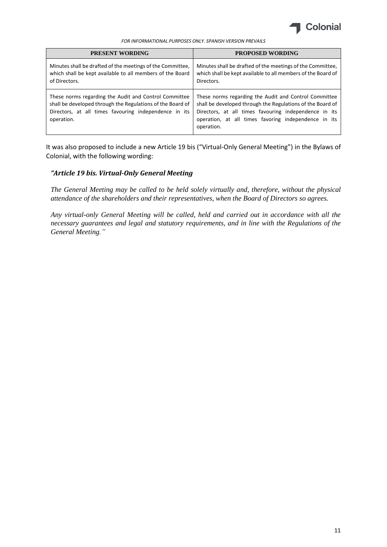

| <b>PRESENT WORDING</b>                                                                                                                                                                     | <b>PROPOSED WORDING</b>                                                                                                                                                                                                                            |
|--------------------------------------------------------------------------------------------------------------------------------------------------------------------------------------------|----------------------------------------------------------------------------------------------------------------------------------------------------------------------------------------------------------------------------------------------------|
| Minutes shall be drafted of the meetings of the Committee.<br>which shall be kept available to all members of the Board<br>of Directors.                                                   | Minutes shall be drafted of the meetings of the Committee,<br>which shall be kept available to all members of the Board of<br>Directors.                                                                                                           |
| These norms regarding the Audit and Control Committee<br>shall be developed through the Regulations of the Board of<br>Directors, at all times favouring independence in its<br>operation. | These norms regarding the Audit and Control Committee<br>shall be developed through the Regulations of the Board of<br>Directors, at all times favouring independence in its<br>operation, at all times favoring independence in its<br>operation. |

It was also proposed to include a new Article 19 bis ("Virtual-Only General Meeting") in the Bylaws of Colonial, with the following wording:

## *"Article 19 bis. Virtual-Only General Meeting*

*The General Meeting may be called to be held solely virtually and, therefore, without the physical attendance of the shareholders and their representatives, when the Board of Directors so agrees.*

*Any virtual-only General Meeting will be called, held and carried out in accordance with all the necessary guarantees and legal and statutory requirements, and in line with the Regulations of the General Meeting."*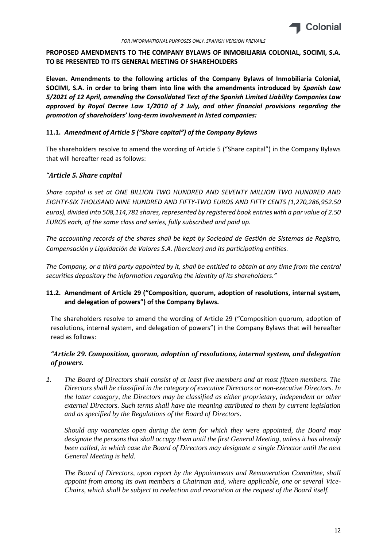

# **PROPOSED AMENDMENTS TO THE COMPANY BYLAWS OF INMOBILIARIA COLONIAL, SOCIMI, S.A. TO BE PRESENTED TO ITS GENERAL MEETING OF SHAREHOLDERS**

**Eleven. Amendments to the following articles of the Company Bylaws of Inmobiliaria Colonial, SOCIMI, S.A. in order to bring them into line with the amendments introduced by** *Spanish Law 5/2021 of 12 April, amending the Consolidated Text of the Spanish Limited Liability Companies Law approved by Royal Decree Law 1/2010 of 2 July, and other financial provisions regarding the promotion of shareholders' long-term involvement in listed companies:*

## **11.1.** *Amendment of Article 5 ("Share capital") of the Company Bylaws*

The shareholders resolve to amend the wording of Article 5 ("Share capital") in the Company Bylaws that will hereafter read as follows:

# *"Article 5. Share capital*

*Share capital is set at ONE BILLION TWO HUNDRED AND SEVENTY MILLION TWO HUNDRED AND EIGHTY-SIX THOUSAND NINE HUNDRED AND FIFTY-TWO EUROS AND FIFTY CENTS (1,270,286,952.50 euros), divided into 508,114,781 shares, represented by registered book entries with a par value of 2.50 EUROS each, of the same class and series, fully subscribed and paid up.*

*The accounting records of the shares shall be kept by Sociedad de Gestión de Sistemas de Registro, Compensación y Liquidación de Valores S.A. (lberclear) and its participating entities.*

*The Company, or a third party appointed by it, shall be entitled to obtain at any time from the central securities depositary the information regarding the identity of its shareholders."*

# **11.2. Amendment of Article 29 ("Composition, quorum, adoption of resolutions, internal system, and delegation of powers") of the Company Bylaws.**

The shareholders resolve to amend the wording of Article 29 ("Composition quorum, adoption of resolutions, internal system, and delegation of powers") in the Company Bylaws that will hereafter read as follows:

# *"Article 29. Composition, quorum, adoption of resolutions, internal system, and delegation of powers.*

*1. The Board of Directors shall consist of at least five members and at most fifteen members. The Directors shall be classified in the category of executive Directors or non-executive Directors. In the latter category, the Directors may be classified as either proprietary, independent or other external Directors. Such terms shall have the meaning attributed to them by current legislation and as specified by the Regulations of the Board of Directors.* 

*Should any vacancies open during the term for which they were appointed, the Board may designate the persons that shall occupy them until the first General Meeting, unless it has already been called, in which case the Board of Directors may designate a single Director until the next General Meeting is held.* 

*The Board of Directors, upon report by the Appointments and Remuneration Committee, shall appoint from among its own members a Chairman and, where applicable, one or several Vice-Chairs, which shall be subject to reelection and revocation at the request of the Board itself.*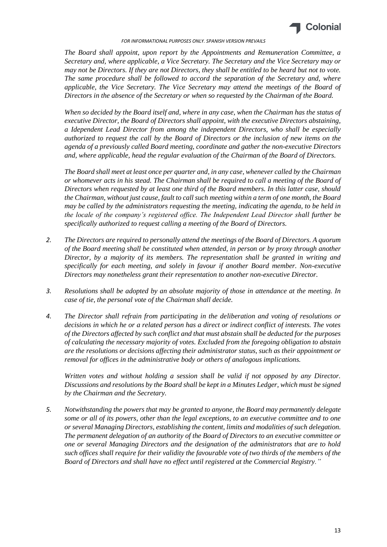

*The Board shall appoint, upon report by the Appointments and Remuneration Committee, a Secretary and, where applicable, a Vice Secretary. The Secretary and the Vice Secretary may or may not be Directors. If they are not Directors, they shall be entitled to be heard but not to vote. The same procedure shall be followed to accord the separation of the Secretary and, where applicable, the Vice Secretary. The Vice Secretary may attend the meetings of the Board of Directors in the absence of the Secretary or when so requested by the Chairman of the Board.* 

*When so decided by the Board itself and, where in any case, when the Chairman has the status of executive Director, the Board of Directors shall appoint, with the executive Directors abstaining, a Idependent Lead Director from among the independent Directors, who shall be especially authorized to request the call by the Board of Directors or the inclusion of new items on the agenda of a previously called Board meeting, coordinate and gather the non-executive Directors and, where applicable, head the regular evaluation of the Chairman of the Board of Directors.* 

*The Board shall meet at least once per quarter and, in any case, whenever called by the Chairman or whomever acts in his stead. The Chairman shall be required to call a meeting of the Board of Directors when requested by at least one third of the Board members. In this latter case, should the Chairman, without just cause, fault to call such meeting within a term of one month, the Board may be called by the administrators requesting the meeting, indicating the agenda, to be held in the locale of the company's registered office. The Independent Lead Director shall further be specifically authorized to request calling a meeting of the Board of Directors.*

- *2. The Directors are required to personally attend the meetings of the Board of Directors. A quorum of the Board meeting shall be constituted when attended, in person or by proxy through another Director, by a majority of its members. The representation shall be granted in writing and specifically for each meeting, and solely in favour if another Board member. Non-executive Directors may nonetheless grant their representation to another non-executive Director.*
- *3. Resolutions shall be adopted by an absolute majority of those in attendance at the meeting. In case of tie, the personal vote of the Chairman shall decide.*
- *4. The Director shall refrain from participating in the deliberation and voting of resolutions or decisions in which he or a related person has a direct or indirect conflict of interests. The votes of the Directors affected by such conflict and that must abstain shall be deducted for the purposes of calculating the necessary majority of votes. Excluded from the foregoing obligation to abstain are the resolutions or decisions affecting their administrator status, such as their appointment or removal for offices in the administrative body or others of analogous implications.*

*Written votes and without holding a session shall be valid if not opposed by any Director. Discussions and resolutions by the Board shall be kept in a Minutes Ledger, which must be signed by the Chairman and the Secretary.* 

*5. Notwithstanding the powers that may be granted to anyone, the Board may permanently delegate some or all of its powers, other than the legal exceptions, to an executive committee and to one or several Managing Directors, establishing the content, limits and modalities of such delegation. The permanent delegation of an authority of the Board of Directors to an executive committee or one or several Managing Directors and the designation of the administrators that are to hold such offices shall require for their validity the favourable vote of two thirds of the members of the Board of Directors and shall have no effect until registered at the Commercial Registry."*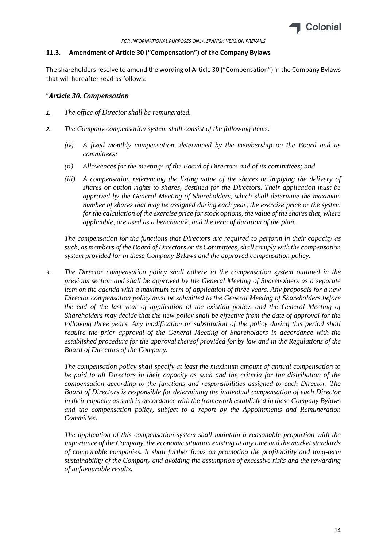

#### **11.3. Amendment of Article 30 ("Compensation") of the Company Bylaws**

The shareholders resolve to amend the wording of Article 30 ("Compensation") in the Company Bylaws that will hereafter read as follows:

#### "*Article 30. Compensation*

- *1. The office of Director shall be remunerated.*
- *2. The Company compensation system shall consist of the following items:*
	- *(iv) A fixed monthly compensation, determined by the membership on the Board and its committees;*
	- *(ii) Allowances for the meetings of the Board of Directors and of its committees; and*
	- *(iii) A compensation referencing the listing value of the shares or implying the delivery of shares or option rights to shares, destined for the Directors. Their application must be approved by the General Meeting of Shareholders, which shall determine the maximum number of shares that may be assigned during each year, the exercise price or the system for the calculation of the exercise price for stock options, the value of the shares that, where applicable, are used as a benchmark, and the term of duration of the plan.*

*The compensation for the functions that Directors are required to perform in their capacity as such, as members of the Board of Directors or its Committees, shall comply with the compensation system provided for in these Company Bylaws and the approved compensation policy.*

*3. The Director compensation policy shall adhere to the compensation system outlined in the previous section and shall be approved by the General Meeting of Shareholders as a separate item on the agenda with a maximum term of application of three years. Any proposals for a new Director compensation policy must be submitted to the General Meeting of Shareholders before the end of the last year of application of the existing policy, and the General Meeting of Shareholders may decide that the new policy shall be effective from the date of approval for the following three years. Any modification or substitution of the policy during this period shall require the prior approval of the General Meeting of Shareholders in accordance with the established procedure for the approval thereof provided for by law and in the Regulations of the Board of Directors of the Company.*

*The compensation policy shall specify at least the maximum amount of annual compensation to be paid to all Directors in their capacity as such and the criteria for the distribution of the compensation according to the functions and responsibilities assigned to each Director. The Board of Directors is responsible for determining the individual compensation of each Director in their capacity as such in accordance with the framework established in these Company Bylaws and the compensation policy, subject to a report by the Appointments and Remuneration Committee.*

*The application of this compensation system shall maintain a reasonable proportion with the importance of the Company, the economic situation existing at any time and the market standards of comparable companies. It shall further focus on promoting the profitability and long-term sustainability of the Company and avoiding the assumption of excessive risks and the rewarding of unfavourable results.*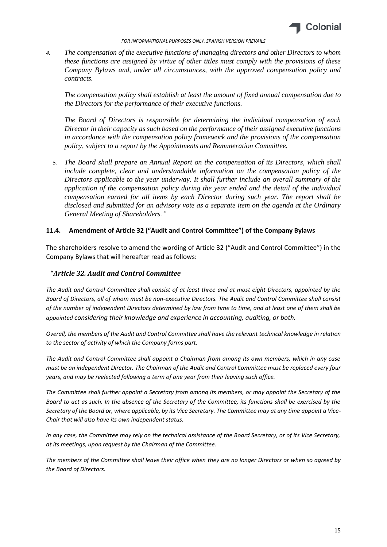

*4. The compensation of the executive functions of managing directors and other Directors to whom these functions are assigned by virtue of other titles must comply with the provisions of these Company Bylaws and, under all circumstances, with the approved compensation policy and contracts.*

*The compensation policy shall establish at least the amount of fixed annual compensation due to the Directors for the performance of their executive functions.*

*The Board of Directors is responsible for determining the individual compensation of each Director in their capacity as such based on the performance of their assigned executive functions in accordance with the compensation policy framework and the provisions of the compensation policy, subject to a report by the Appointments and Remuneration Committee.*

*5. The Board shall prepare an Annual Report on the compensation of its Directors, which shall include complete, clear and understandable information on the compensation policy of the Directors applicable to the year underway. It shall further include an overall summary of the application of the compensation policy during the year ended and the detail of the individual compensation earned for all items by each Director during such year. The report shall be disclosed and submitted for an advisory vote as a separate item on the agenda at the Ordinary General Meeting of Shareholders."*

### **11.4. Amendment of Article 32 ("Audit and Control Committee") of the Company Bylaws**

The shareholders resolve to amend the wording of Article 32 ("Audit and Control Committee") in the Company Bylaws that will hereafter read as follows:

#### "*Article 32. Audit and Control Committee*

*The Audit and Control Committee shall consist of at least three and at most eight Directors, appointed by the Board of Directors, all of whom must be non-executive Directors. The Audit and Control Committee shall consist of the number of independent Directors determined by law from time to time, and at least one of them shall be appointed considering their knowledge and experience in accounting, auditing, or both.*

*Overall, the members of the Audit and Control Committee shall have the relevant technical knowledge in relation to the sector of activity of which the Company forms part.*

*The Audit and Control Committee shall appoint a Chairman from among its own members, which in any case must be an independent Director. The Chairman of the Audit and Control Committee must be replaced every four years, and may be reelected following a term of one year from their leaving such office.*

*The Committee shall further appoint a Secretary from among its members, or may appoint the Secretary of the Board to act as such. In the absence of the Secretary of the Committee, its functions shall be exercised by the Secretary of the Board or, where applicable, by its Vice Secretary. The Committee may at any time appoint a Vice-Chair that will also have its own independent status.*

*In any case, the Committee may rely on the technical assistance of the Board Secretary, or of its Vice Secretary, at its meetings, upon request by the Chairman of the Committee.*

*The members of the Committee shall leave their office when they are no longer Directors or when so agreed by the Board of Directors.*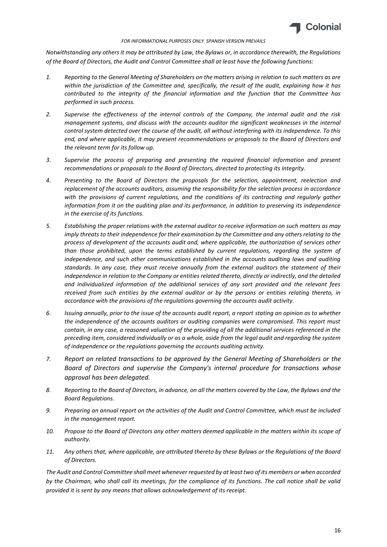

*Notwithstanding any others it may be attributed by Law, the Bylaws or, in accordance therewith, the Regulations of the Board of Directors, the Audit and Control Committee shall at least have the following functions:*

- *1. Reporting to the General Meeting of Shareholders on the matters arising in relation to such matters as are within the jurisdiction of the Committee and, specifically, the result of the audit, explaining how it has contributed to the integrity of the financial information and the function that the Committee has performed in such process.*
- *2. Supervise the effectiveness of the internal controls of the Company, the internal audit and the risk management systems, and discuss with the accounts auditor the significant weaknesses in the internal control system detected over the course of the audit, all without interfering with its independence. To this end, and where applicable, it may present recommendations or proposals to the Board of Directors and the relevant term for its follow up.*
- *3. Supervise the process of preparing and presenting the required financial information and present recommendations or proposals to the Board of Directors, directed to protecting its integrity.*
- *4. Presenting to the Board of Directors the proposals for the selection, appointment, reelection and replacement of the accounts auditors, assuming the responsibility for the selection process in accordance*  with the provisions of current regulations, and the conditions of its contracting and regularly gather *information from it on the auditing plan and its performance, in addition to preserving its independence in the exercise of its functions.*
- *5. Establishing the proper relations with the external auditor to receive information on such matters as may imply threats to their independence for their examination by the Committee and any others relating to the process of development of the accounts audit and, where applicable, the authorization of services other than those prohibited, upon the terms established by current regulations, regarding the system of*  independence, and such other communications established in the accounts auditing laws and auditing *standards. In any case, they must receive annually from the external auditors the statement of their independence in relation to the Company or entities related thereto, directly or indirectly, and the detailed and individualized information of the additional services of any sort provided and the relevant fees received from such entities by the external auditor or by the persons or entities relating thereto, in accordance with the provisions of the regulations governing the accounts audit activity.*
- *6. Issuing annually, prior to the issue of the accounts audit report, a report stating an opinion as to whether the independence of the accounts auditors or auditing companies were compromised. This report must contain, in any case, a reasoned valuation of the providing of all the additional services referenced in the preceding item, considered individually or as a whole, aside from the legal audit and regarding the system of independence or the regulations governing the accounts auditing activity.*
- *7. Report on related transactions to be approved by the General Meeting of Shareholders or the Board of Directors and supervise the Company's internal procedure for transactions whose approval has been delegated.*
- *8. Reporting to the Board of Directors, in advance, on all the matters covered by the Law, the Bylaws and the Board Regulations.*
- *9. Preparing an annual report on the activities of the Audit and Control Committee, which must be included in the management report.*
- *10. Propose to the Board of Directors any other matters deemed applicable in the matters within its scope of authority.*
- *11. Any others that, where applicable, are attributed thereto by these Bylaws or the Regulations of the Board of Directors.*

*The Audit and Control Committee shall meet whenever requested by at least two of its members or when accorded by the Chairman, who shall call its meetings, for the compliance of its functions. The call notice shall be valid provided it is sent by any means that allows acknowledgement of its receipt.*